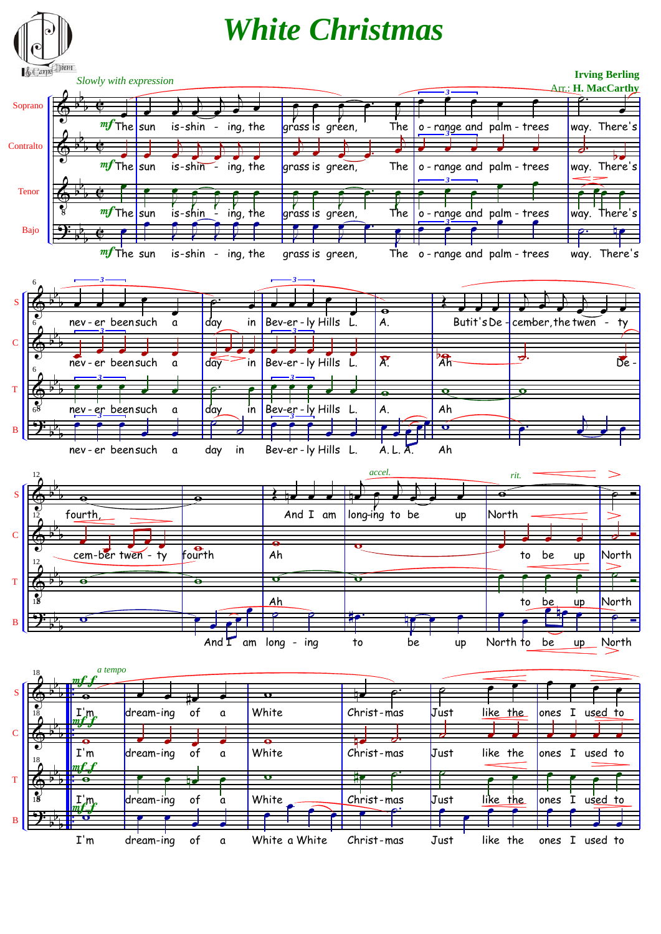

b b b . . **S** I'm <mark>e e</mark> → . dream-ing of a White a White Christ-mas Just like the ones I used to